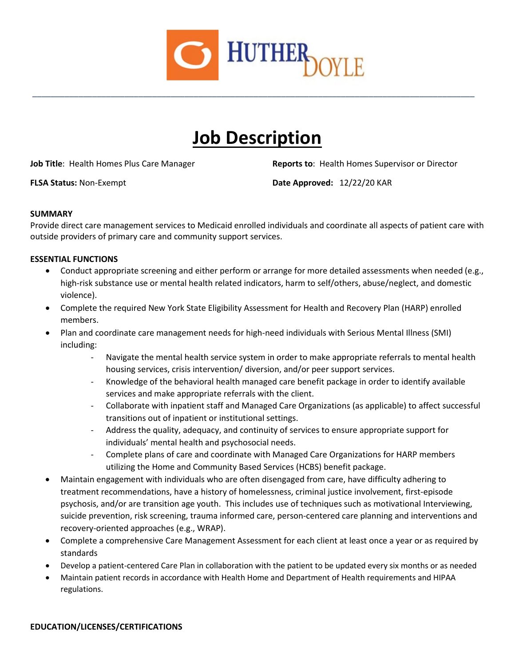

# **Job Description**

\_\_\_\_\_\_\_\_\_\_\_\_\_\_\_\_\_\_\_\_\_\_\_\_\_\_\_\_\_\_\_\_\_\_\_\_\_\_\_\_\_\_\_\_\_\_\_\_\_\_\_\_\_\_\_\_\_\_\_\_\_\_\_\_\_\_\_\_\_\_\_\_\_\_\_\_\_\_\_\_\_\_\_\_\_\_\_\_\_\_\_\_\_\_\_\_

**Job Title**: Health Homes Plus Care Manager **Reports to: Health Homes Supervisor or Director** 

**FLSA Status:** Non-Exempt **Date Approved:** 12/22/20 KAR

## **SUMMARY**

Provide direct care management services to Medicaid enrolled individuals and coordinate all aspects of patient care with outside providers of primary care and community support services.

## **ESSENTIAL FUNCTIONS**

- Conduct appropriate screening and either perform or arrange for more detailed assessments when needed (e.g., high-risk substance use or mental health related indicators, harm to self/others, abuse/neglect, and domestic violence).
- Complete the required New York State Eligibility Assessment for Health and Recovery Plan (HARP) enrolled members.
- Plan and coordinate care management needs for high-need individuals with Serious Mental Illness (SMI) including:
	- Navigate the mental health service system in order to make appropriate referrals to mental health housing services, crisis intervention/ diversion, and/or peer support services.
	- Knowledge of the behavioral health managed care benefit package in order to identify available services and make appropriate referrals with the client.
	- Collaborate with inpatient staff and Managed Care Organizations (as applicable) to affect successful transitions out of inpatient or institutional settings.
	- Address the quality, adequacy, and continuity of services to ensure appropriate support for individuals' mental health and psychosocial needs.
	- Complete plans of care and coordinate with Managed Care Organizations for HARP members utilizing the Home and Community Based Services (HCBS) benefit package.
- Maintain engagement with individuals who are often disengaged from care, have difficulty adhering to treatment recommendations, have a history of homelessness, criminal justice involvement, first-episode psychosis, and/or are transition age youth. This includes use of techniques such as motivational Interviewing, suicide prevention, risk screening, trauma informed care, person-centered care planning and interventions and recovery-oriented approaches (e.g., WRAP).
- Complete a comprehensive Care Management Assessment for each client at least once a year or as required by standards
- Develop a patient-centered Care Plan in collaboration with the patient to be updated every six months or as needed
- Maintain patient records in accordance with Health Home and Department of Health requirements and HIPAA regulations.